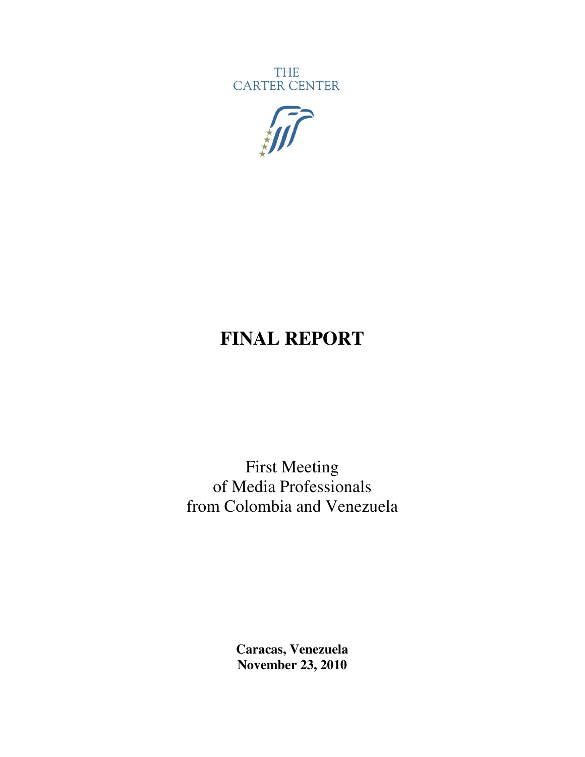**THE** CARTER CENTER



# **FINAL REPORT**

First Meeting of Media Professionals from Colombia and Venezuela

> **Caracas, Venezuela November 23, 2010**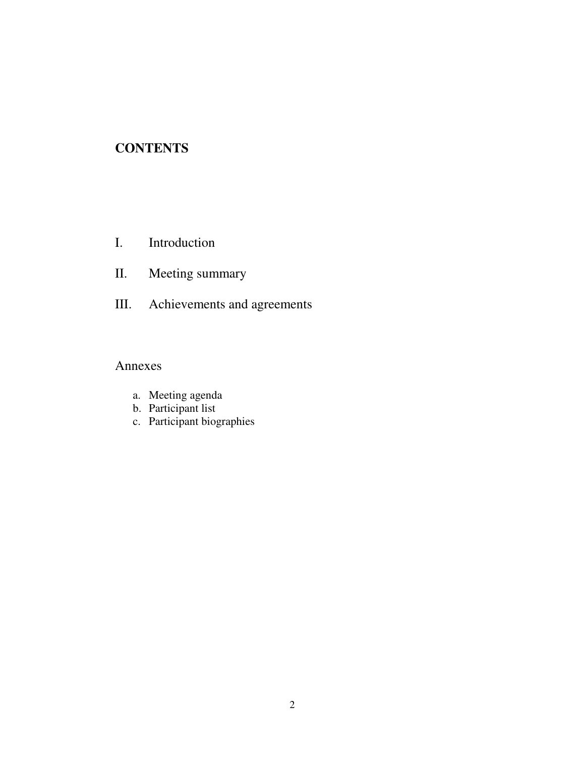# **CONTENTS**

- I. Introduction
- II. Meeting summary
- III. Achievements and agreements

## Annexes

- a. Meeting agenda
- b. Participant list
- c. Participant biographies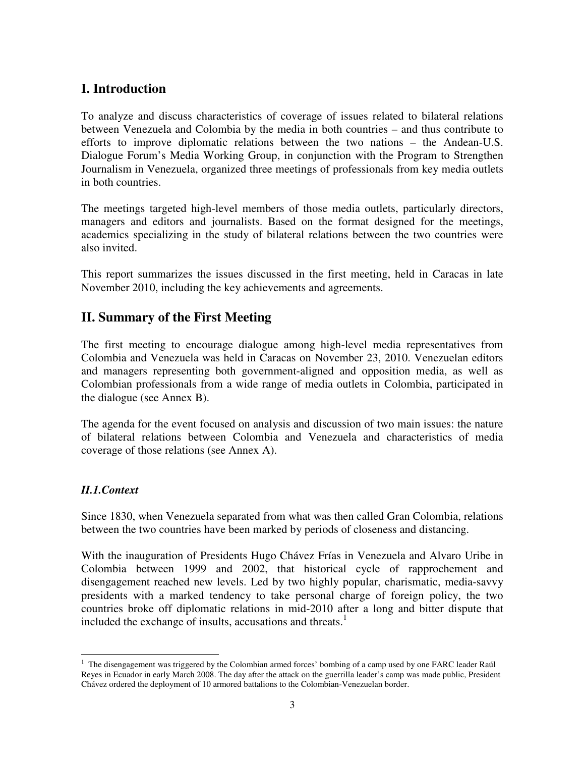## **I. Introduction**

To analyze and discuss characteristics of coverage of issues related to bilateral relations between Venezuela and Colombia by the media in both countries – and thus contribute to efforts to improve diplomatic relations between the two nations – the Andean-U.S. Dialogue Forum's Media Working Group, in conjunction with the Program to Strengthen Journalism in Venezuela, organized three meetings of professionals from key media outlets in both countries.

The meetings targeted high-level members of those media outlets, particularly directors, managers and editors and journalists. Based on the format designed for the meetings, academics specializing in the study of bilateral relations between the two countries were also invited.

This report summarizes the issues discussed in the first meeting, held in Caracas in late November 2010, including the key achievements and agreements.

## **II. Summary of the First Meeting**

The first meeting to encourage dialogue among high-level media representatives from Colombia and Venezuela was held in Caracas on November 23, 2010. Venezuelan editors and managers representing both government-aligned and opposition media, as well as Colombian professionals from a wide range of media outlets in Colombia, participated in the dialogue (see Annex B).

The agenda for the event focused on analysis and discussion of two main issues: the nature of bilateral relations between Colombia and Venezuela and characteristics of media coverage of those relations (see Annex A).

#### *II.1.Context*

l

Since 1830, when Venezuela separated from what was then called Gran Colombia, relations between the two countries have been marked by periods of closeness and distancing.

With the inauguration of Presidents Hugo Chávez Frías in Venezuela and Alvaro Uribe in Colombia between 1999 and 2002, that historical cycle of rapprochement and disengagement reached new levels. Led by two highly popular, charismatic, media-savvy presidents with a marked tendency to take personal charge of foreign policy, the two countries broke off diplomatic relations in mid-2010 after a long and bitter dispute that included the exchange of insults, accusations and threats. $<sup>1</sup>$ </sup>

<sup>&</sup>lt;sup>1</sup> The disengagement was triggered by the Colombian armed forces' bombing of a camp used by one FARC leader Raúl Reyes in Ecuador in early March 2008. The day after the attack on the guerrilla leader's camp was made public, President Chávez ordered the deployment of 10 armored battalions to the Colombian-Venezuelan border.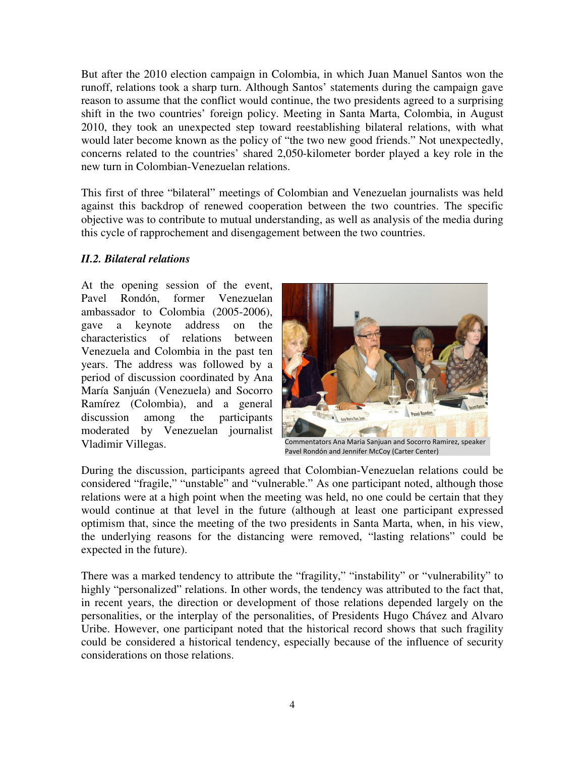But after the 2010 election campaign in Colombia, in which Juan Manuel Santos won the runoff, relations took a sharp turn. Although Santos' statements during the campaign gave reason to assume that the conflict would continue, the two presidents agreed to a surprising shift in the two countries' foreign policy. Meeting in Santa Marta, Colombia, in August 2010, they took an unexpected step toward reestablishing bilateral relations, with what would later become known as the policy of "the two new good friends." Not unexpectedly, concerns related to the countries' shared 2,050-kilometer border played a key role in the new turn in Colombian-Venezuelan relations.

This first of three "bilateral" meetings of Colombian and Venezuelan journalists was held against this backdrop of renewed cooperation between the two countries. The specific objective was to contribute to mutual understanding, as well as analysis of the media during this cycle of rapprochement and disengagement between the two countries.

#### *II.2. Bilateral relations*

At the opening session of the event, Pavel Rondón, former Venezuelan ambassador to Colombia (2005-2006), gave a keynote address on the characteristics of relations between Venezuela and Colombia in the past ten years. The address was followed by a period of discussion coordinated by Ana María Sanjuán (Venezuela) and Socorro Ramírez (Colombia), and a general discussion among the participants moderated by Venezuelan journalist Vladimir Villegas.



Commentators Ana Maria Sanjuan and Socorro Ramirez, speaker Pavel Rondón and Jennifer McCoy (Carter Center)

During the discussion, participants agreed that Colombian-Venezuelan relations could be considered "fragile," "unstable" and "vulnerable." As one participant noted, although those relations were at a high point when the meeting was held, no one could be certain that they would continue at that level in the future (although at least one participant expressed optimism that, since the meeting of the two presidents in Santa Marta, when, in his view, the underlying reasons for the distancing were removed, "lasting relations" could be expected in the future).

There was a marked tendency to attribute the "fragility," "instability" or "vulnerability" to highly "personalized" relations. In other words, the tendency was attributed to the fact that, in recent years, the direction or development of those relations depended largely on the personalities, or the interplay of the personalities, of Presidents Hugo Chávez and Alvaro Uribe. However, one participant noted that the historical record shows that such fragility could be considered a historical tendency, especially because of the influence of security considerations on those relations.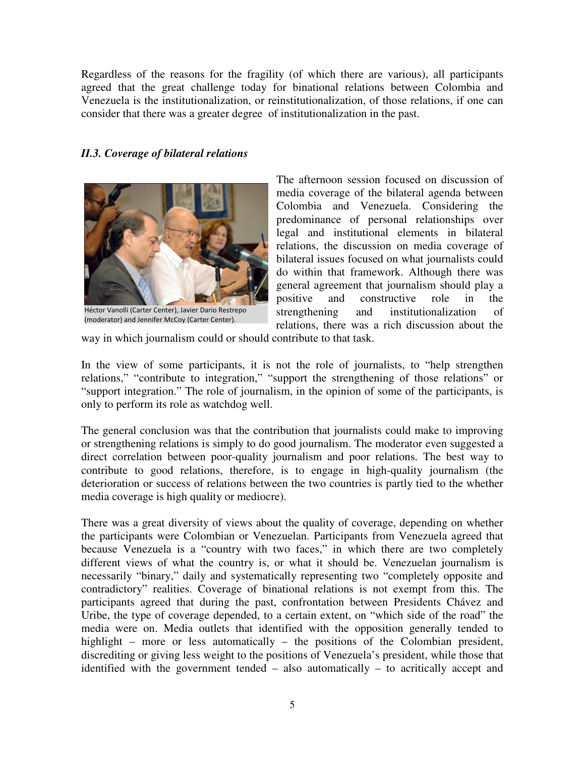Regardless of the reasons for the fragility (of which there are various), all participants agreed that the great challenge today for binational relations between Colombia and Venezuela is the institutionalization, or reinstitutionalization, of those relations, if one can consider that there was a greater degree of institutionalization in the past.

#### *II.3. Coverage of bilateral relations*



Héctor Vanolli (Carter Center), Javier Dario Restrepo (moderator) and Jennifer McCoy (Carter Center).

The afternoon session focused on discussion of media coverage of the bilateral agenda between Colombia and Venezuela. Considering the predominance of personal relationships over legal and institutional elements in bilateral relations, the discussion on media coverage of bilateral issues focused on what journalists could do within that framework. Although there was general agreement that journalism should play a positive and constructive role in the strengthening and institutionalization of relations, there was a rich discussion about the

way in which journalism could or should contribute to that task.

In the view of some participants, it is not the role of journalists, to "help strengthen relations," "contribute to integration," "support the strengthening of those relations" or "support integration." The role of journalism, in the opinion of some of the participants, is only to perform its role as watchdog well.

The general conclusion was that the contribution that journalists could make to improving or strengthening relations is simply to do good journalism. The moderator even suggested a direct correlation between poor-quality journalism and poor relations. The best way to contribute to good relations, therefore, is to engage in high-quality journalism (the deterioration or success of relations between the two countries is partly tied to the whether media coverage is high quality or mediocre).

There was a great diversity of views about the quality of coverage, depending on whether the participants were Colombian or Venezuelan. Participants from Venezuela agreed that because Venezuela is a "country with two faces," in which there are two completely different views of what the country is, or what it should be. Venezuelan journalism is necessarily "binary," daily and systematically representing two "completely opposite and contradictory" realities. Coverage of binational relations is not exempt from this. The participants agreed that during the past, confrontation between Presidents Chávez and Uribe, the type of coverage depended, to a certain extent, on "which side of the road" the media were on. Media outlets that identified with the opposition generally tended to highlight – more or less automatically – the positions of the Colombian president, discrediting or giving less weight to the positions of Venezuela's president, while those that identified with the government tended – also automatically – to acritically accept and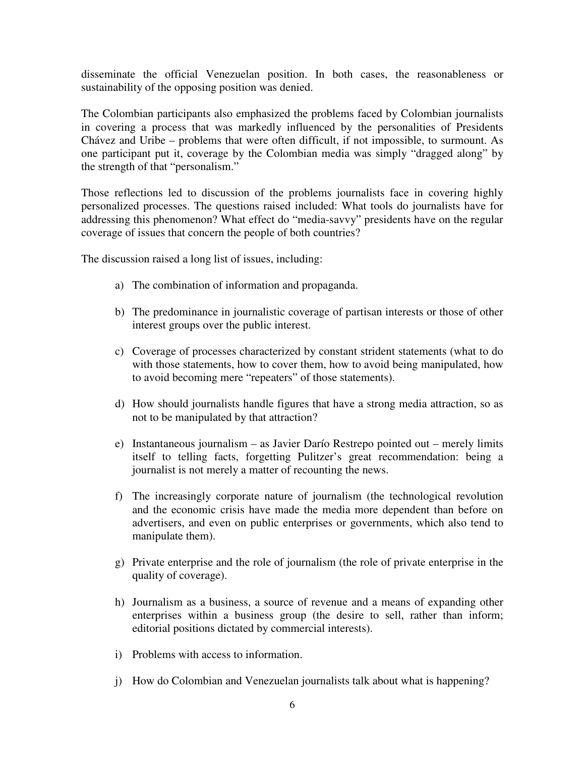disseminate the official Venezuelan position. In both cases, the reasonableness or sustainability of the opposing position was denied.

The Colombian participants also emphasized the problems faced by Colombian journalists in covering a process that was markedly influenced by the personalities of Presidents Chávez and Uribe – problems that were often difficult, if not impossible, to surmount. As one participant put it, coverage by the Colombian media was simply "dragged along" by the strength of that "personalism."

Those reflections led to discussion of the problems journalists face in covering highly personalized processes. The questions raised included: What tools do journalists have for addressing this phenomenon? What effect do "media-savvy" presidents have on the regular coverage of issues that concern the people of both countries?

The discussion raised a long list of issues, including:

- a) The combination of information and propaganda.
- b) The predominance in journalistic coverage of partisan interests or those of other interest groups over the public interest.
- c) Coverage of processes characterized by constant strident statements (what to do with those statements, how to cover them, how to avoid being manipulated, how to avoid becoming mere "repeaters" of those statements).
- d) How should journalists handle figures that have a strong media attraction, so as not to be manipulated by that attraction?
- e) Instantaneous journalism as Javier Darío Restrepo pointed out merely limits itself to telling facts, forgetting Pulitzer's great recommendation: being a journalist is not merely a matter of recounting the news.
- f) The increasingly corporate nature of journalism (the technological revolution and the economic crisis have made the media more dependent than before on advertisers, and even on public enterprises or governments, which also tend to manipulate them).
- g) Private enterprise and the role of journalism (the role of private enterprise in the quality of coverage).
- h) Journalism as a business, a source of revenue and a means of expanding other enterprises within a business group (the desire to sell, rather than inform; editorial positions dictated by commercial interests).
- i) Problems with access to information.
- j) How do Colombian and Venezuelan journalists talk about what is happening?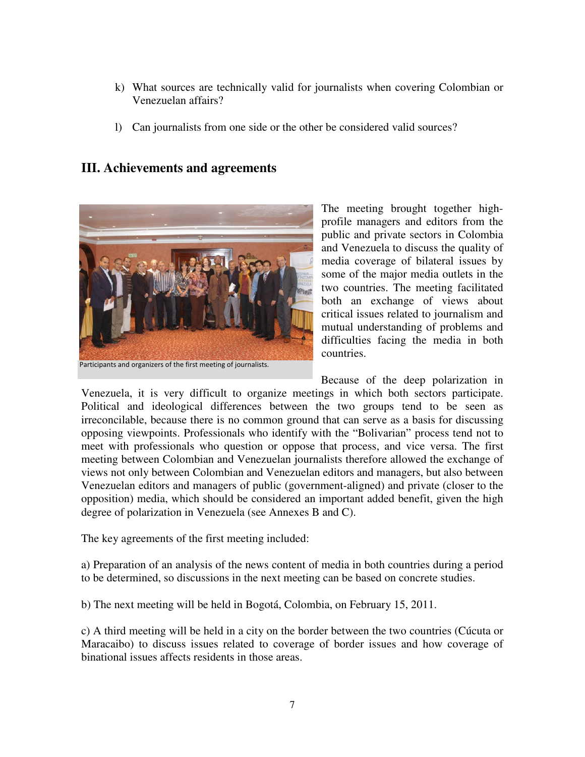- k) What sources are technically valid for journalists when covering Colombian or Venezuelan affairs?
- l) Can journalists from one side or the other be considered valid sources?

#### **III. Achievements and agreements**



Participants and organizers of the first meeting of journalists.

The meeting brought together highprofile managers and editors from the public and private sectors in Colombia and Venezuela to discuss the quality of media coverage of bilateral issues by some of the major media outlets in the two countries. The meeting facilitated both an exchange of views about critical issues related to journalism and mutual understanding of problems and difficulties facing the media in both countries.

Because of the deep polarization in

Venezuela, it is very difficult to organize meetings in which both sectors participate. Political and ideological differences between the two groups tend to be seen as irreconcilable, because there is no common ground that can serve as a basis for discussing opposing viewpoints. Professionals who identify with the "Bolivarian" process tend not to meet with professionals who question or oppose that process, and vice versa. The first meeting between Colombian and Venezuelan journalists therefore allowed the exchange of views not only between Colombian and Venezuelan editors and managers, but also between Venezuelan editors and managers of public (government-aligned) and private (closer to the opposition) media, which should be considered an important added benefit, given the high degree of polarization in Venezuela (see Annexes B and C).

The key agreements of the first meeting included:

a) Preparation of an analysis of the news content of media in both countries during a period to be determined, so discussions in the next meeting can be based on concrete studies.

b) The next meeting will be held in Bogotá, Colombia, on February 15, 2011.

c) A third meeting will be held in a city on the border between the two countries (Cúcuta or Maracaibo) to discuss issues related to coverage of border issues and how coverage of binational issues affects residents in those areas.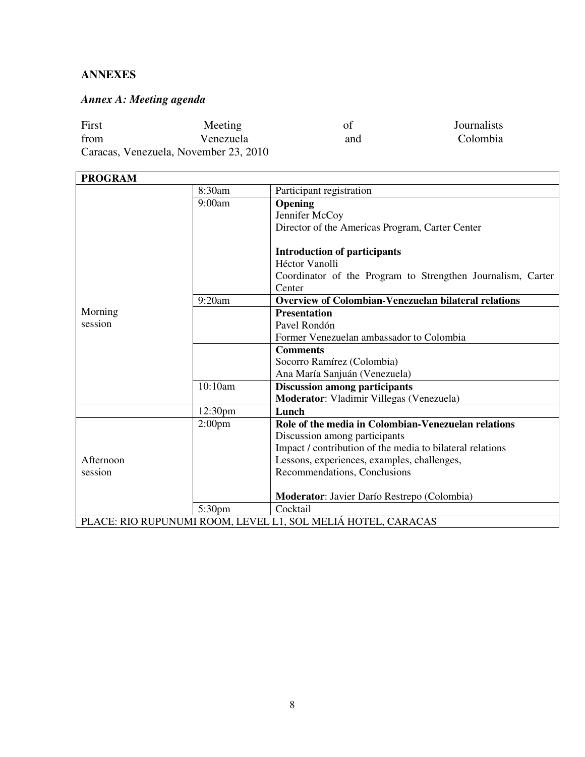#### **ANNEXES**

# *Annex A: Meeting agenda*

| First                                 | Meeting   | οf  | Journalists |  |  |  |
|---------------------------------------|-----------|-----|-------------|--|--|--|
| from                                  | Venezuela | and | Colombia    |  |  |  |
| Caracas, Venezuela, November 23, 2010 |           |     |             |  |  |  |

| <b>PROGRAM</b>                                               |                    |                                                             |  |
|--------------------------------------------------------------|--------------------|-------------------------------------------------------------|--|
|                                                              | 8:30am             | Participant registration                                    |  |
|                                                              | 9:00am             | <b>Opening</b>                                              |  |
|                                                              |                    | Jennifer McCoy                                              |  |
|                                                              |                    | Director of the Americas Program, Carter Center             |  |
|                                                              |                    | <b>Introduction of participants</b>                         |  |
|                                                              |                    | Héctor Vanolli                                              |  |
|                                                              |                    | Coordinator of the Program to Strengthen Journalism, Carter |  |
|                                                              |                    | Center                                                      |  |
|                                                              | 9:20am             | <b>Overview of Colombian-Venezuelan bilateral relations</b> |  |
| Morning                                                      |                    | <b>Presentation</b>                                         |  |
| session                                                      |                    | Pavel Rondón                                                |  |
|                                                              |                    | Former Venezuelan ambassador to Colombia                    |  |
|                                                              |                    | <b>Comments</b>                                             |  |
|                                                              |                    | Socorro Ramírez (Colombia)                                  |  |
|                                                              |                    | Ana María Sanjuán (Venezuela)                               |  |
|                                                              | 10:10am            | <b>Discussion among participants</b>                        |  |
|                                                              |                    | Moderator: Vladimir Villegas (Venezuela)                    |  |
|                                                              | 12:30pm            | Lunch                                                       |  |
|                                                              | 2:00 <sub>pm</sub> | Role of the media in Colombian-Venezuelan relations         |  |
|                                                              |                    | Discussion among participants                               |  |
|                                                              |                    | Impact / contribution of the media to bilateral relations   |  |
| Afternoon                                                    |                    | Lessons, experiences, examples, challenges,                 |  |
| session                                                      |                    | Recommendations, Conclusions                                |  |
|                                                              |                    |                                                             |  |
|                                                              |                    | <b>Moderator:</b> Javier Darío Restrepo (Colombia)          |  |
|                                                              | 5:30 <sub>pm</sub> | Cocktail                                                    |  |
| PLACE: RIO RUPUNUMI ROOM, LEVEL L1, SOL MELIÁ HOTEL, CARACAS |                    |                                                             |  |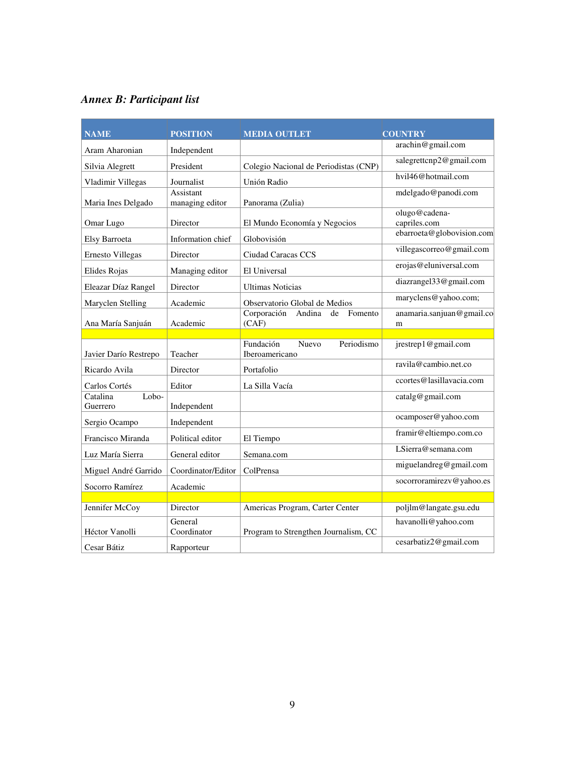# *Annex B: Participant list*

| <b>NAME</b>                   | <b>POSITION</b>              | <b>MEDIA OUTLET</b>                                       | <b>COUNTRY</b>                 |
|-------------------------------|------------------------------|-----------------------------------------------------------|--------------------------------|
| Aram Aharonian                | Independent                  |                                                           | arachin@gmail.com              |
| Silvia Alegrett               | President                    | Colegio Nacional de Periodistas (CNP)                     | salegrettcnp2@gmail.com        |
| Vladimir Villegas             | Journalist                   | Unión Radio                                               | hvil46@hotmail.com             |
| Maria Ines Delgado            | Assistant<br>managing editor | Panorama (Zulia)                                          | mdelgado@panodi.com            |
| Omar Lugo                     | Director                     | El Mundo Economía y Negocios                              | olugo@cadena-<br>capriles.com  |
| Elsy Barroeta                 | Information chief            | Globovisión                                               | ebarroeta@globovision.com      |
| Ernesto Villegas              | Director                     | Ciudad Caracas CCS                                        | villegascorreo@gmail.com       |
| Elides Rojas                  | Managing editor              | El Universal                                              | erojas@eluniversal.com         |
| Eleazar Díaz Rangel           | Director                     | <b>Ultimas Noticias</b>                                   | diazrangel33@gmail.com         |
| Maryclen Stelling             | Academic                     | Observatorio Global de Medios                             | maryclens@yahoo.com;           |
| Ana María Sanjuán             | Academic                     | Corporación<br>Andina<br>Fomento<br>de<br>(CAF)           | anamaria.sanjuan@gmail.co<br>m |
|                               |                              |                                                           |                                |
| Javier Darío Restrepo         | Teacher                      | Fundación<br><b>Nuevo</b><br>Periodismo<br>Iberoamericano | jrestrep1@gmail.com            |
| Ricardo Avila                 | Director                     | Portafolio                                                | ravila@cambio.net.co           |
| Carlos Cortés                 | Editor                       | La Silla Vacía                                            | ccortes@lasillavacia.com       |
| Catalina<br>Lobo-<br>Guerrero | Independent                  |                                                           | catalg@gmail.com               |
| Sergio Ocampo                 | Independent                  |                                                           | ocamposer@yahoo.com            |
| Francisco Miranda             | Political editor             | El Tiempo                                                 | framir@eltiempo.com.co         |
| Luz María Sierra              | General editor               | Semana.com                                                | LSierra@semana.com             |
| Miguel André Garrido          | Coordinator/Editor           | ColPrensa                                                 | miguelandreg@gmail.com         |
| Socorro Ramírez               | Academic                     |                                                           | socorroramirezv@yahoo.es       |
|                               |                              |                                                           |                                |
| Jennifer McCoy                | Director                     | Americas Program, Carter Center                           | poljlm@langate.gsu.edu         |
| Héctor Vanolli                | General<br>Coordinator       | Program to Strengthen Journalism, CC                      | havanolli@yahoo.com            |
| Cesar Bátiz                   | Rapporteur                   |                                                           | cesarbatiz2@gmail.com          |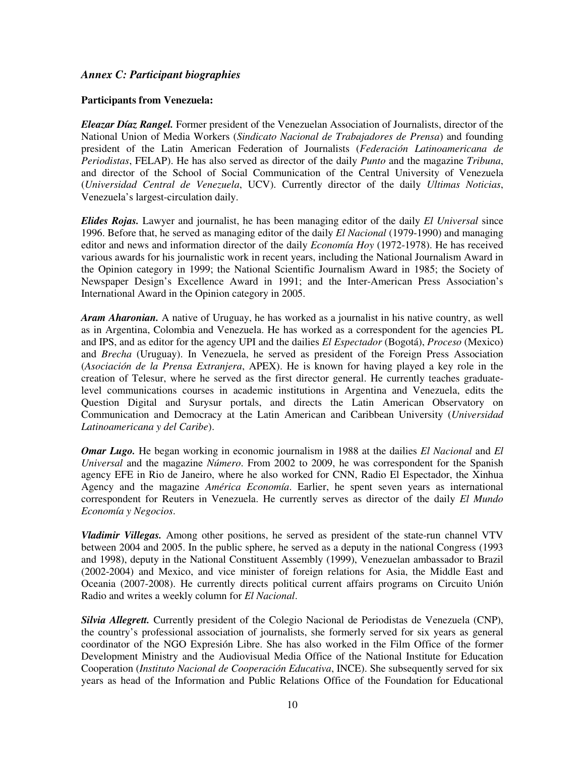#### *Annex C: Participant biographies*

#### **Participants from Venezuela:**

*Eleazar Díaz Rangel.* Former president of the Venezuelan Association of Journalists, director of the National Union of Media Workers (*Sindicato Nacional de Trabajadores de Prensa*) and founding president of the Latin American Federation of Journalists (*Federación Latinoamericana de Periodistas*, FELAP). He has also served as director of the daily *Punto* and the magazine *Tribuna*, and director of the School of Social Communication of the Central University of Venezuela (*Universidad Central de Venezuela*, UCV). Currently director of the daily *Ultimas Noticias*, Venezuela's largest-circulation daily.

*Elides Rojas.* Lawyer and journalist, he has been managing editor of the daily *El Universal* since 1996. Before that, he served as managing editor of the daily *El Nacional* (1979-1990) and managing editor and news and information director of the daily *Economía Hoy* (1972-1978). He has received various awards for his journalistic work in recent years, including the National Journalism Award in the Opinion category in 1999; the National Scientific Journalism Award in 1985; the Society of Newspaper Design's Excellence Award in 1991; and the Inter-American Press Association's International Award in the Opinion category in 2005.

*Aram Aharonian.* A native of Uruguay, he has worked as a journalist in his native country, as well as in Argentina, Colombia and Venezuela. He has worked as a correspondent for the agencies PL and IPS, and as editor for the agency UPI and the dailies *El Espectador* (Bogotá), *Proceso* (Mexico) and *Brecha* (Uruguay). In Venezuela, he served as president of the Foreign Press Association (*Asociación de la Prensa Extranjera*, APEX). He is known for having played a key role in the creation of Telesur, where he served as the first director general. He currently teaches graduatelevel communications courses in academic institutions in Argentina and Venezuela, edits the Question Digital and Surysur portals, and directs the Latin American Observatory on Communication and Democracy at the Latin American and Caribbean University (*Universidad Latinoamericana y del Caribe*).

*Omar Lugo.* He began working in economic journalism in 1988 at the dailies *El Nacional* and *El Universal* and the magazine *Número*. From 2002 to 2009, he was correspondent for the Spanish agency EFE in Rio de Janeiro, where he also worked for CNN, Radio El Espectador, the Xinhua Agency and the magazine *América Economía*. Earlier, he spent seven years as international correspondent for Reuters in Venezuela. He currently serves as director of the daily *El Mundo Economía y Negocios*.

*Vladimir Villegas.* Among other positions, he served as president of the state-run channel VTV between 2004 and 2005. In the public sphere, he served as a deputy in the national Congress (1993 and 1998), deputy in the National Constituent Assembly (1999), Venezuelan ambassador to Brazil (2002-2004) and Mexico, and vice minister of foreign relations for Asia, the Middle East and Oceania (2007-2008). He currently directs political current affairs programs on Circuito Unión Radio and writes a weekly column for *El Nacional*.

*Silvia Allegrett.* Currently president of the Colegio Nacional de Periodistas de Venezuela (CNP), the country's professional association of journalists, she formerly served for six years as general coordinator of the NGO Expresión Libre. She has also worked in the Film Office of the former Development Ministry and the Audiovisual Media Office of the National Institute for Education Cooperation (*Instituto Nacional de Cooperación Educativa*, INCE). She subsequently served for six years as head of the Information and Public Relations Office of the Foundation for Educational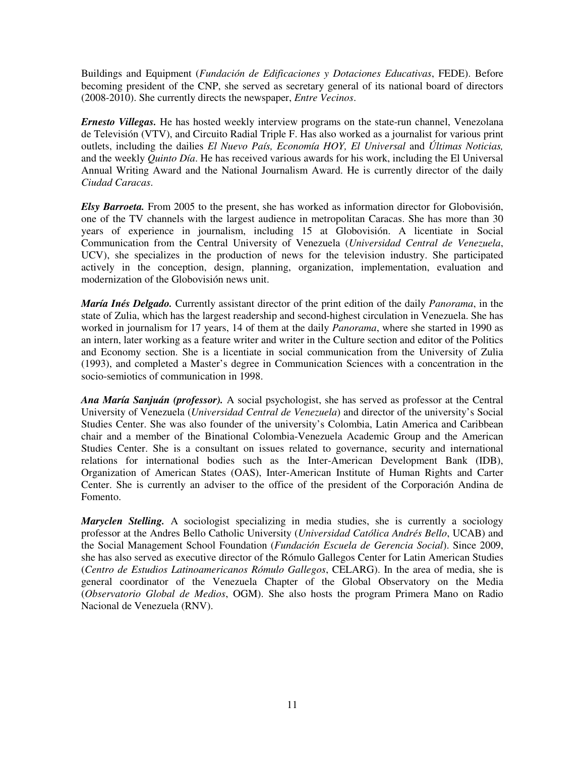Buildings and Equipment (*Fundación de Edificaciones y Dotaciones Educativas*, FEDE). Before becoming president of the CNP, she served as secretary general of its national board of directors (2008-2010). She currently directs the newspaper, *Entre Vecinos*.

*Ernesto Villegas.* He has hosted weekly interview programs on the state-run channel, Venezolana de Televisión (VTV), and Circuito Radial Triple F. Has also worked as a journalist for various print outlets, including the dailies *El Nuevo País, Economía HOY, El Universal* and *Últimas Noticias,* and the weekly *Quinto Día*. He has received various awards for his work, including the El Universal Annual Writing Award and the National Journalism Award. He is currently director of the daily *Ciudad Caracas*.

*Elsy Barroeta.* From 2005 to the present, she has worked as information director for Globovisión, one of the TV channels with the largest audience in metropolitan Caracas. She has more than 30 years of experience in journalism, including 15 at Globovisión. A licentiate in Social Communication from the Central University of Venezuela (*Universidad Central de Venezuela*, UCV), she specializes in the production of news for the television industry. She participated actively in the conception, design, planning, organization, implementation, evaluation and modernization of the Globovisión news unit.

*María Inés Delgado.* Currently assistant director of the print edition of the daily *Panorama*, in the state of Zulia, which has the largest readership and second-highest circulation in Venezuela. She has worked in journalism for 17 years, 14 of them at the daily *Panorama*, where she started in 1990 as an intern, later working as a feature writer and writer in the Culture section and editor of the Politics and Economy section. She is a licentiate in social communication from the University of Zulia (1993), and completed a Master's degree in Communication Sciences with a concentration in the socio-semiotics of communication in 1998.

*Ana María Sanjuán (professor).* A social psychologist, she has served as professor at the Central University of Venezuela (*Universidad Central de Venezuela*) and director of the university's Social Studies Center. She was also founder of the university's Colombia, Latin America and Caribbean chair and a member of the Binational Colombia-Venezuela Academic Group and the American Studies Center. She is a consultant on issues related to governance, security and international relations for international bodies such as the Inter-American Development Bank (IDB), Organization of American States (OAS), Inter-American Institute of Human Rights and Carter Center. She is currently an adviser to the office of the president of the Corporación Andina de Fomento.

*Maryclen Stelling.* A sociologist specializing in media studies, she is currently a sociology professor at the Andres Bello Catholic University (*Universidad Católica Andrés Bello*, UCAB) and the Social Management School Foundation (*Fundación Escuela de Gerencia Social*). Since 2009, she has also served as executive director of the Rómulo Gallegos Center for Latin American Studies (*Centro de Estudios Latinoamericanos Rómulo Gallegos*, CELARG). In the area of media, she is general coordinator of the Venezuela Chapter of the Global Observatory on the Media (*Observatorio Global de Medios*, OGM). She also hosts the program Primera Mano on Radio Nacional de Venezuela (RNV).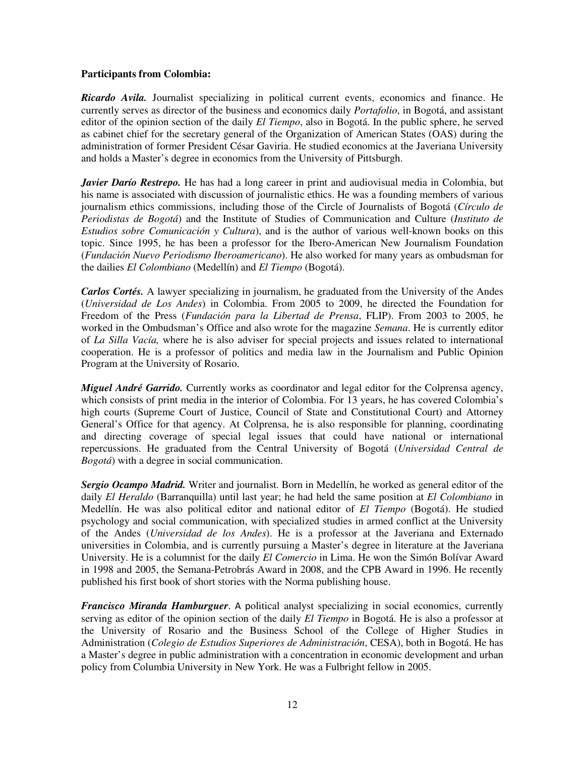#### **Participants from Colombia:**

*Ricardo Avila.* Journalist specializing in political current events, economics and finance. He currently serves as director of the business and economics daily *Portafolio*, in Bogotá, and assistant editor of the opinion section of the daily *El Tiempo*, also in Bogotá. In the public sphere, he served as cabinet chief for the secretary general of the Organization of American States (OAS) during the administration of former President César Gaviria. He studied economics at the Javeriana University and holds a Master's degree in economics from the University of Pittsburgh.

*Javier Darío Restrepo.* He has had a long career in print and audiovisual media in Colombia, but his name is associated with discussion of journalistic ethics. He was a founding members of various journalism ethics commissions, including those of the Circle of Journalists of Bogotá (*Círculo de Periodistas de Bogotá*) and the Institute of Studies of Communication and Culture (*Instituto de Estudios sobre Comunicación y Cultura*), and is the author of various well-known books on this topic. Since 1995, he has been a professor for the Ibero-American New Journalism Foundation (*Fundación Nuevo Periodismo Iberoamericano*). He also worked for many years as ombudsman for the dailies *El Colombiano* (Medellín) and *El Tiempo* (Bogotá).

*Carlos Cortés.* A lawyer specializing in journalism, he graduated from the University of the Andes (*Universidad de Los Andes*) in Colombia. From 2005 to 2009, he directed the Foundation for Freedom of the Press (*Fundación para la Libertad de Prensa*, FLIP). From 2003 to 2005, he worked in the Ombudsman's Office and also wrote for the magazine *Semana*. He is currently editor of *La Silla Vacía,* where he is also adviser for special projects and issues related to international cooperation. He is a professor of politics and media law in the Journalism and Public Opinion Program at the University of Rosario.

*Miguel André Garrido.* Currently works as coordinator and legal editor for the Colprensa agency, which consists of print media in the interior of Colombia. For 13 years, he has covered Colombia's high courts (Supreme Court of Justice, Council of State and Constitutional Court) and Attorney General's Office for that agency. At Colprensa, he is also responsible for planning, coordinating and directing coverage of special legal issues that could have national or international repercussions. He graduated from the Central University of Bogotá (*Universidad Central de Bogotá*) with a degree in social communication.

*Sergio Ocampo Madrid.* Writer and journalist. Born in Medellín, he worked as general editor of the daily *El Heraldo* (Barranquilla) until last year; he had held the same position at *El Colombiano* in Medellín. He was also political editor and national editor of *El Tiempo* (Bogotá). He studied psychology and social communication, with specialized studies in armed conflict at the University of the Andes (*Universidad de los Andes*). He is a professor at the Javeriana and Externado universities in Colombia, and is currently pursuing a Master's degree in literature at the Javeriana University. He is a columnist for the daily *El Comercio* in Lima. He won the Simón Bolívar Award in 1998 and 2005, the Semana-Petrobrás Award in 2008, and the CPB Award in 1996. He recently published his first book of short stories with the Norma publishing house.

*Francisco Miranda Hamburguer*. A political analyst specializing in social economics, currently serving as editor of the opinion section of the daily *El Tiempo* in Bogotá. He is also a professor at the University of Rosario and the Business School of the College of Higher Studies in Administration (*Colegio de Estudios Superiores de Administración*, CESA), both in Bogotá. He has a Master's degree in public administration with a concentration in economic development and urban policy from Columbia University in New York. He was a Fulbright fellow in 2005.